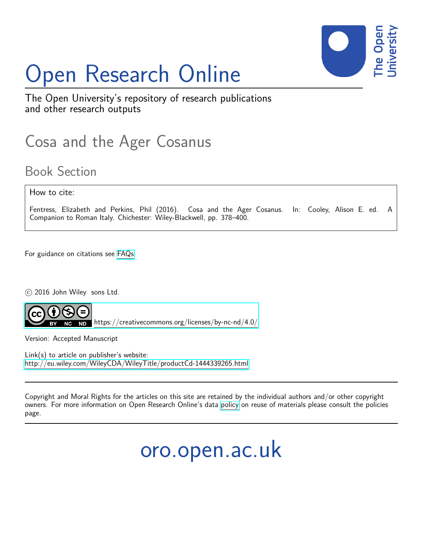

# Open Research Online

The Open University's repository of research publications and other research outputs

# Cosa and the Ager Cosanus

# Book Section

# How to cite:

Fentress, Elizabeth and Perkins, Phil (2016). Cosa and the Ager Cosanus. In: Cooley, Alison E. ed. A Companion to Roman Italy. Chichester: Wiley-Blackwell, pp. 378–400.

For guidance on citations see [FAQs.](http://oro.open.ac.uk/help/helpfaq.html)

c 2016 John Wiley sons Ltd.



<https://creativecommons.org/licenses/by-nc-nd/4.0/>

Version: Accepted Manuscript

Link(s) to article on publisher's website: <http://eu.wiley.com/WileyCDA/WileyTitle/productCd-1444339265.html>

Copyright and Moral Rights for the articles on this site are retained by the individual authors and/or other copyright owners. For more information on Open Research Online's data [policy](http://oro.open.ac.uk/policies.html) on reuse of materials please consult the policies page.

oro.open.ac.uk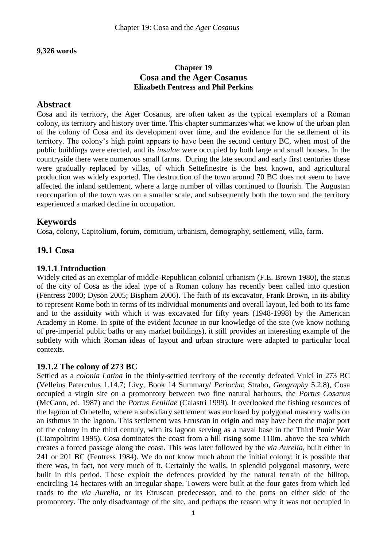#### **9,326 words**

# **Chapter 19 Cosa and the Ager Cosanus Elizabeth Fentress and Phil Perkins**

#### **Abstract**

Cosa and its territory, the Ager Cosanus, are often taken as the typical exemplars of a Roman colony, its territory and history over time. This chapter summarizes what we know of the urban plan of the colony of Cosa and its development over time, and the evidence for the settlement of its territory. The colony's high point appears to have been the second century BC, when most of the public buildings were erected, and its *insulae* were occupied by both large and small houses. In the countryside there were numerous small farms. During the late second and early first centuries these were gradually replaced by villas, of which Settefinestre is the best known, and agricultural production was widely exported. The destruction of the town around 70 BC does not seem to have affected the inland settlement, where a large number of villas continued to flourish. The Augustan reoccupation of the town was on a smaller scale, and subsequently both the town and the territory experienced a marked decline in occupation.

### **Keywords**

Cosa, colony, Capitolium, forum, comitium, urbanism, demography, settlement, villa, farm.

# **19.1 Cosa**

### **19.1.1 Introduction**

Widely cited as an exemplar of middle-Republican colonial urbanism (F.E. Brown 1980), the status of the city of Cosa as the ideal type of a Roman colony has recently been called into question (Fentress 2000; Dyson 2005; Bispham 2006). The faith of its excavator, Frank Brown, in its ability to represent Rome both in terms of its individual monuments and overall layout, led both to its fame and to the assiduity with which it was excavated for fifty years (1948-1998) by the American Academy in Rome. In spite of the evident *lacunae* in our knowledge of the site (we know nothing of pre-imperial public baths or any market buildings), it still provides an interesting example of the subtlety with which Roman ideas of layout and urban structure were adapted to particular local contexts.

#### **19.1.2 The colony of 273 BC**

Settled as a *colonia Latina* in the thinly-settled territory of the recently defeated Vulci in 273 BC (Velleius [Paterculus](http://en.wikipedia.org/wiki/Velleius_Paterculus) 1.14.7; [Livy,](http://en.wikipedia.org/wiki/Livy) Book 14 Summary/ *Periocha*; [Strabo,](http://en.wikipedia.org/wiki/Strabo) *Geography* 5.2.8), Cosa occupied a virgin site on a promontory between two fine natural harbours, the *Portus Cosanus*  (McCann, ed. 1987) and the *Portus Feniliae* (Calastri 1999)*.* It overlooked the fishing resources of the lagoon of Orbetello, where a subsidiary settlement was enclosed by polygonal masonry walls on an isthmus in the lagoon. This settlement was Etruscan in origin and may have been the major port of the colony in the third century, with its lagoon serving as a naval base in the Third Punic War (Ciampoltrini 1995). Cosa dominates the coast from a hill rising some 110m. above the sea which creates a forced passage along the coast. This was later followed by the *via Aurelia*, built either in 241 or 201 BC (Fentress 1984). We do not know much about the initial colony: it is possible that there was, in fact, not very much of it. Certainly the walls, in splendid polygonal masonry, were built in this period. These exploit the defences provided by the natural terrain of the hilltop, encircling 14 hectares with an irregular shape. Towers were built at the four gates from which led roads to the *via Aurelia*, or its Etruscan predecessor, and to the ports on either side of the promontory. The only disadvantage of the site, and perhaps the reason why it was not occupied in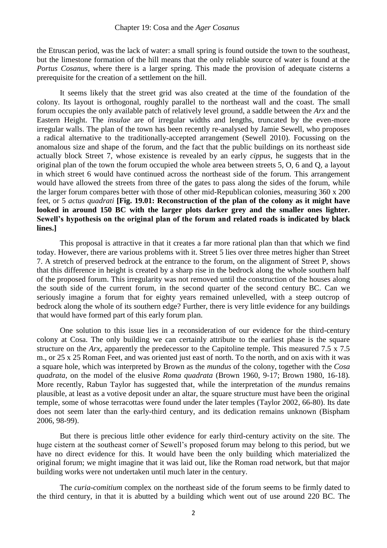the Etruscan period, was the lack of water: a small spring is found outside the town to the southeast, but the limestone formation of the hill means that the only reliable source of water is found at the *Portus Cosanus*, where there is a larger spring. This made the provision of adequate cisterns a prerequisite for the creation of a settlement on the hill.

It seems likely that the street grid was also created at the time of the foundation of the colony. Its layout is orthogonal, roughly parallel to the northeast wall and the coast. The small forum occupies the only available patch of relatively level ground, a saddle between the *Arx* and the Eastern Height. The *insulae* are of irregular widths and lengths, truncated by the even-more irregular walls. The plan of the town has been recently re-analysed by Jamie Sewell, who proposes a radical alternative to the traditionally-accepted arrangement (Sewell 2010). Focussing on the anomalous size and shape of the forum, and the fact that the public buildings on its northeast side actually block Street 7, whose existence is revealed by an early *cippus*, he suggests that in the original plan of the town the forum occupied the whole area between streets 5, O, 6 and Q, a layout in which street 6 would have continued across the northeast side of the forum. This arrangement would have allowed the streets from three of the gates to pass along the sides of the forum, while the larger forum compares better with those of other mid-Republican colonies, measuring 360 x 200 feet, or 5 *actus quadrati* **[Fig. 19.01: Reconstruction of the plan of the colony as it might have looked in around 150 BC with the larger plots darker grey and the smaller ones lighter. Sewell's hypothesis on the original plan of the forum and related roads is indicated by black lines.]**

This proposal is attractive in that it creates a far more rational plan than that which we find today. However, there are various problems with it. Street 5 lies over three metres higher than Street 7. A stretch of preserved bedrock at the entrance to the forum, on the alignment of Street P, shows that this difference in height is created by a sharp rise in the bedrock along the whole southern half of the proposed forum. This irregularity was not removed until the construction of the houses along the south side of the current forum, in the second quarter of the second century BC. Can we seriously imagine a forum that for eighty years remained unlevelled, with a steep outcrop of bedrock along the whole of its southern edge? Further, there is very little evidence for any buildings that would have formed part of this early forum plan.

One solution to this issue lies in a reconsideration of our evidence for the third-century colony at Cosa. The only building we can certainly attribute to the earliest phase is the square structure on the *Arx*, apparently the predecessor to the Capitoline temple. This measured 7.5 x 7.5 m., or 25 x 25 Roman Feet, and was oriented just east of north. To the north, and on axis with it was a square hole, which was interpreted by Brown as the *mundus* of the colony, together with the *Cosa quadrata*, on the model of the elusive *Roma quadrata* (Brown 1960, 9-17; Brown 1980, 16-18)*.*  More recently, Rabun Taylor has suggested that, while the interpretation of the *mundus* remains plausible, at least as a votive deposit under an altar, the square structure must have been the original temple, some of whose terracottas were found under the later temples (Taylor 2002, 66-80). Its date does not seem later than the early-third century, and its dedication remains unknown (Bispham 2006, 98-99).

But there is precious little other evidence for early third-century activity on the site. The huge cistern at the southeast corner of Sewell's proposed forum may belong to this period, but we have no direct evidence for this. It would have been the only building which materialized the original forum; we might imagine that it was laid out, like the Roman road network, but that major building works were not undertaken until much later in the century.

The *curia-comitium* complex on the northeast side of the forum seems to be firmly dated to the third century, in that it is abutted by a building which went out of use around 220 BC. The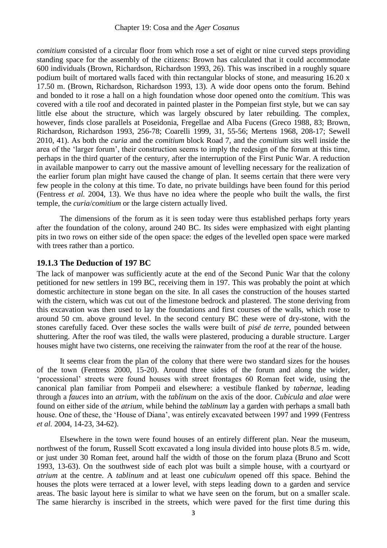*comitium* consisted of a circular floor from which rose a set of eight or nine curved steps providing standing space for the assembly of the citizens: Brown has calculated that it could accommodate 600 individuals (Brown, Richardson, Richardson 1993, 26). This was inscribed in a roughly square podium built of mortared walls faced with thin rectangular blocks of stone, and measuring 16.20 x 17.50 m. (Brown, Richardson, Richardson 1993, 13). A wide door opens onto the forum. Behind and bonded to it rose a hall on a high foundation whose door opened onto the *comitium*. This was covered with a tile roof and decorated in painted plaster in the Pompeian first style, but we can say little else about the structure, which was largely obscured by later rebuilding. The complex, however, finds close parallels at Poseidonia, Fregellae and Alba Fucens (Greco 1988, 83; Brown, Richardson, Richardson 1993, 256-78; Coarelli 1999, 31, 55-56; Mertens 1968, 208-17; Sewell 2010, 41). As both the *curia* and the *comitium* block Road 7, and the *comitium* sits well inside the area of the 'larger forum', their construction seems to imply the redesign of the forum at this time, perhaps in the third quarter of the century, after the interruption of the First Punic War. A reduction in available manpower to carry out the massive amount of levelling necessary for the realization of the earlier forum plan might have caused the change of plan. It seems certain that there were very few people in the colony at this time. To date, no private buildings have been found for this period (Fentress *et al.* 2004, 13). We thus have no idea where the people who built the walls, the first temple, the *curia*/*comitium* or the large cistern actually lived.

The dimensions of the forum as it is seen today were thus established perhaps forty years after the foundation of the colony, around 240 BC. Its sides were emphasized with eight planting pits in two rows on either side of the open space: the edges of the levelled open space were marked with trees rather than a portico.

#### **19.1.3 The Deduction of 197 BC**

The lack of manpower was sufficiently acute at the end of the Second Punic War that the colony petitioned for new settlers in 199 BC, receiving them in 197. This was probably the point at which domestic architecture in stone began on the site. In all cases the construction of the houses started with the cistern, which was cut out of the limestone bedrock and plastered. The stone deriving from this excavation was then used to lay the foundations and first courses of the walls, which rose to around 50 cm. above ground level. In the second century BC these were of dry-stone, with the stones carefully faced. Over these socles the walls were built of *pisé de terre*, pounded between shuttering. After the roof was tiled, the walls were plastered, producing a durable structure. Larger houses might have two cisterns, one receiving the rainwater from the roof at the rear of the house.

It seems clear from the plan of the colony that there were two standard sizes for the houses of the town (Fentress 2000, 15-20). Around three sides of the forum and along the wider, 'processional' streets were found houses with street frontages 60 Roman feet wide, using the canonical plan familiar from Pompeii and elsewhere: a vestibule flanked by *tabernae*, leading through a *fauces* into an *atrium*, with the *tablinum* on the axis of the door. *Cubicula* and *alae* were found on either side of the *atrium*, while behind the *tablinum* lay a garden with perhaps a small bath house. One of these, the 'House of Diana', was entirely excavated between 1997 and 1999 (Fentress *et al.* 2004, 14-23, 34-62).

Elsewhere in the town were found houses of an entirely different plan. Near the museum, northwest of the forum, Russell Scott excavated a long insula divided into house plots 8.5 m. wide, or just under 30 Roman feet, around half the width of those on the forum plaza (Bruno and Scott 1993, 13-63). On the southwest side of each plot was built a simple house, with a courtyard or *atrium* at the centre. A *tablinum* and at least one *cubiculum* opened off this space. Behind the houses the plots were terraced at a lower level, with steps leading down to a garden and service areas. The basic layout here is similar to what we have seen on the forum, but on a smaller scale. The same hierarchy is inscribed in the streets, which were paved for the first time during this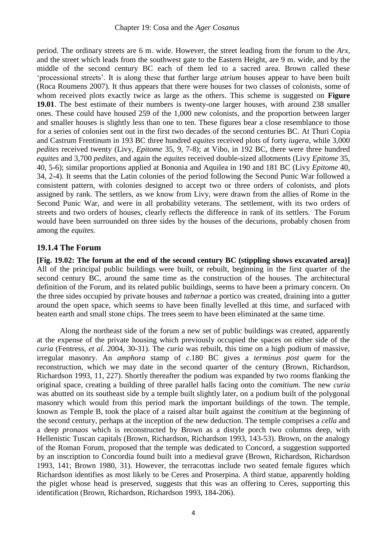period. The ordinary streets are 6 m. wide. However, the street leading from the forum to the *Arx*, and the street which leads from the southwest gate to the Eastern Height, are 9 m. wide, and by the middle of the second century BC each of them led to a sacred area. Brown called these 'processional streets'. It is along these that further large *atrium* houses appear to have been built (Roca Roumens 2007). It thus appears that there were houses for two classes of colonists, some of whom received plots exactly twice as large as the others. This scheme is suggested on **Figure 19.01**. The best estimate of their numbers is twenty-one larger houses, with around 238 smaller ones. These could have housed 259 of the 1,000 new colonists, and the proportion between larger and smaller houses is slightly less than one to ten. These figures bear a close resemblance to those for a series of colonies sent out in the first two decades of the second centuries BC. At Thuri Copia and Castrum Frentinum in 193 BC three hundred *equites* received plots of forty *iugera*, while 3,000 *pedites* received twenty (Livy, *Epitome* 35, 9, 7-8); at Vibo, in 192 BC, there were three hundred *equites* and 3,700 *pedites*, and again the *equites* received double-sized allotments (Livy *Epitome* 35, 40, 5-6); similar proportions applied at Bononia and Aquilea in 190 and 181 BC (Livy *Epitome* 40, 34, 2-4). It seems that the Latin colonies of the period following the Second Punic War followed a consistent pattern, with colonies designed to accept two or three orders of colonists, and plots assigned by rank. The settlers, as we know from Livy, were drawn from the allies of Rome in the Second Punic War, and were in all probability veterans. The settlement, with its two orders of streets and two orders of houses, clearly reflects the difference in rank of its settlers.. The Forum would have been surrounded on three sides by the houses of the decurions, probably chosen from among the *equites.* 

# **19.1.4 The Forum**

**[Fig. 19.02: The forum at the end of the second century BC (stippling shows excavated area)]** All of the principal public buildings were built, or rebuilt, beginning in the first quarter of the second century BC, around the same time as the construction of the houses. The architectural definition of the Forum, and its related public buildings, seems to have been a primary concern. On the three sides occupied by private houses and *tabernae* a portico was created, draining into a gutter around the open space, which seems to have been finally levelled at this time, and surfaced with beaten earth and small stone chips. The trees seem to have been eliminated at the same time.

Along the northeast side of the forum a new set of public buildings was created, apparently at the expense of the private housing which previously occupied the spaces on either side of the *curia* (Fentress, *et al.* 2004, 30-31). The *curia* was rebuilt, this time on a high podium of massive, irregular masonry. An *amphora* stamp of *c*.180 BC gives a *terminus post quem* for the reconstruction, which we may date in the second quarter of the century (Brown, Richardson, Richardson 1993, 11, 227). Shortly thereafter the podium was expanded by two rooms flanking the original space, creating a building of three parallel halls facing onto the *comitium*. The new *curia* was abutted on its southeast side by a temple built slightly later, on a podium built of the polygonal masonry which would from this period mark the important buildings of the town. The temple, known as Temple B, took the place of a raised altar built against the *comitium* at the beginning of the second century, perhaps at the inception of the new deduction. The temple comprises a *cella* and a deep *pronaos* which is reconstructed by Brown as a distyle porch two columns deep, with Hellenistic Tuscan capitals (Brown, Richardson, Richardson 1993, 143-53). Brown, on the analogy of the Roman Forum, proposed that the temple was dedicated to Concord, a suggestion supported by an inscription to Concordia found built into a medieval grave (Brown, Richardson, Richardson 1993, 141; Brown 1980, 31). However, the terracottas include two seated female figures which Richardson identifies as most likely to be Ceres and Proserpina. A third statue, apparently holding the piglet whose head is preserved, suggests that this was an offering to Ceres, supporting this identification (Brown, Richardson, Richardson 1993, 184-206).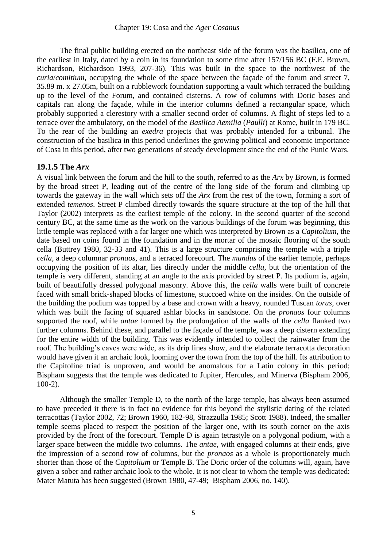The final public building erected on the northeast side of the forum was the basilica, one of the earliest in Italy, dated by a coin in its foundation to some time after 157/156 BC (F.E. Brown, Richardson, Richardson 1993, 207-36). This was built in the space to the northwest of the *curia*/*comitium*, occupying the whole of the space between the façade of the forum and street 7, 35.89 m. x 27.05m, built on a rubblework foundation supporting a vault which terraced the building up to the level of the Forum, and contained cisterns. A row of columns with Doric bases and capitals ran along the façade, while in the interior columns defined a rectangular space, which probably supported a clerestory with a smaller second order of columns. A flight of steps led to a terrace over the ambulatory, on the model of the *Basilica Aemilia* (*Paulli*) at Rome, built in 179 BC. To the rear of the building an *exedra* projects that was probably intended for a tribunal. The construction of the basilica in this period underlines the growing political and economic importance of Cosa in this period, after two generations of steady development since the end of the Punic Wars.

# **19.1.5 The** *Arx*

A visual link between the forum and the hill to the south, referred to as the *Arx* by Brown, is formed by the broad street P, leading out of the centre of the long side of the forum and climbing up towards the gateway in the wall which sets off the *Arx* from the rest of the town, forming a sort of extended *temenos*. Street P climbed directly towards the square structure at the top of the hill that Taylor (2002) interprets as the earliest temple of the colony. In the second quarter of the second century BC, at the same time as the work on the various buildings of the forum was beginning, this little temple was replaced with a far larger one which was interpreted by Brown as a *Capitolium*, the date based on coins found in the foundation and in the mortar of the mosaic flooring of the south cella (Buttrey 1980, 32-33 and 41). This is a large structure comprising the temple with a triple *cella*, a deep columnar *pronaos*, and a terraced forecourt. The *mundus* of the earlier temple, perhaps occupying the position of its altar, lies directly under the middle *cella*, but the orientation of the temple is very different, standing at an angle to the axis provided by street P. Its podium is, again, built of beautifully dressed polygonal masonry. Above this, the *cella* walls were built of concrete faced with small brick-shaped blocks of limestone, stuccoed white on the insides. On the outside of the building the podium was topped by a base and crown with a heavy, rounded Tuscan *torus*, over which was built the facing of squared ashlar blocks in sandstone. On the *pronaos* four columns supported the roof, while *antae* formed by the prolongation of the walls of the *cella* flanked two further columns. Behind these, and parallel to the façade of the temple, was a deep cistern extending for the entire width of the building. This was evidently intended to collect the rainwater from the roof. The building's eaves were wide, as its drip lines show, and the elaborate terracotta decoration would have given it an archaic look, looming over the town from the top of the hill. Its attribution to the Capitoline triad is unproven, and would be anomalous for a Latin colony in this period; Bispham suggests that the temple was dedicated to Jupiter, Hercules, and Minerva (Bispham 2006,  $100-2$ ).

Although the smaller Temple D, to the north of the large temple, has always been assumed to have preceded it there is in fact no evidence for this beyond the stylistic dating of the related terracottas (Taylor 2002, 72; Brown 1960, 182-98, Strazzulla 1985; Scott 1988). Indeed, the smaller temple seems placed to respect the position of the larger one, with its south corner on the axis provided by the front of the forecourt. Temple D is again tetrastyle on a polygonal podium, with a larger space between the middle two columns. The *antae*, with engaged columns at their ends, give the impression of a second row of columns, but the *pronaos* as a whole is proportionately much shorter than those of the *Capitolium* or Temple B. The Doric order of the columns will, again, have given a sober and rather archaic look to the whole. It is not clear to whom the temple was dedicated: Mater Matuta has been suggested (Brown 1980, 47-49; Bispham 2006, no. 140).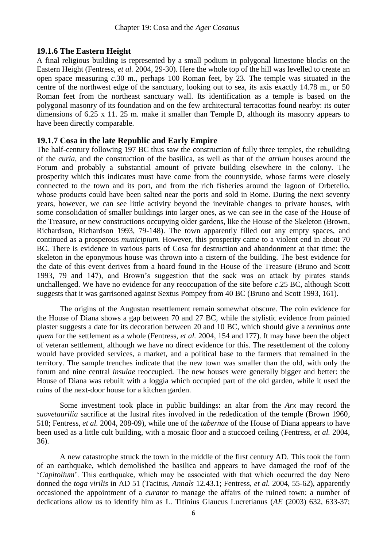#### **19.1.6 The Eastern Height**

A final religious building is represented by a small podium in polygonal limestone blocks on the Eastern Height (Fentress, *et al.* 2004, 29-30). Here the whole top of the hill was levelled to create an open space measuring *c*.30 m., perhaps 100 Roman feet, by 23. The temple was situated in the centre of the northwest edge of the sanctuary, looking out to sea, its axis exactly 14.78 m., or 50 Roman feet from the northeast sanctuary wall. Its identification as a temple is based on the polygonal masonry of its foundation and on the few architectural terracottas found nearby: its outer dimensions of 6.25 x 11. 25 m. make it smaller than Temple D, although its masonry appears to have been directly comparable.

#### **19.1.7 Cosa in the late Republic and Early Empire**

The half-century following 197 BC thus saw the construction of fully three temples, the rebuilding of the *curia*, and the construction of the basilica, as well as that of the *atrium* houses around the Forum and probably a substantial amount of private building elsewhere in the colony. The prosperity which this indicates must have come from the countryside, whose farms were closely connected to the town and its port, and from the rich fisheries around the lagoon of Orbetello, whose products could have been salted near the ports and sold in Rome. During the next seventy years, however, we can see little activity beyond the inevitable changes to private houses, with some consolidation of smaller buildings into larger ones, as we can see in the case of the House of the Treasure, or new constructions occupying older gardens, like the House of the Skeleton (Brown, Richardson, Richardson 1993, 79-148). The town apparently filled out any empty spaces, and continued as a prosperous *municipium.* However, this prosperity came to a violent end in about 70 BC. There is evidence in various parts of Cosa for destruction and abandonment at that time: the skeleton in the eponymous house was thrown into a cistern of the building. The best evidence for the date of this event derives from a hoard found in the House of the Treasure (Bruno and Scott 1993, 79 and 147), and Brown's suggestion that the sack was an attack by pirates stands unchallenged. We have no evidence for any reoccupation of the site before *c*.25 BC, although Scott suggests that it was garrisoned against Sextus Pompey from 40 BC (Bruno and Scott 1993, 161).

The origins of the Augustan resettlement remain somewhat obscure. The coin evidence for the House of Diana shows a gap between 70 and 27 BC, while the stylistic evidence from painted plaster suggests a date for its decoration between 20 and 10 BC, which should give a *terminus ante quem* for the settlement as a whole (Fentress, *et al.* 2004, 154 and 177). It may have been the object of veteran settlement, although we have no direct evidence for this. The resettlement of the colony would have provided services, a market, and a political base to the farmers that remained in the territory. The sample trenches indicate that the new town was smaller than the old, with only the forum and nine central *insulae* reoccupied. The new houses were generally bigger and better: the House of Diana was rebuilt with a loggia which occupied part of the old garden, while it used the ruins of the next-door house for a kitchen garden.

Some investment took place in public buildings: an altar from the *Arx* may record the *suovetaurilia* sacrifice at the lustral rites involved in the rededication of the temple (Brown 1960, 518; Fentress, *et al.* 2004, 208-09), while one of the *tabernae* of the House of Diana appears to have been used as a little cult building, with a mosaic floor and a stuccoed ceiling (Fentress, *et al.* 2004, 36).

A new catastrophe struck the town in the middle of the first century AD. This took the form of an earthquake, which demolished the basilica and appears to have damaged the roof of the '*Capitolium*'. This earthquake, which may be associated with that which occurred the day Nero donned the *toga virilis* in AD 51 (Tacitus, *Annals* 12.43.1; Fentress, *et al.* 2004, 55-62), apparently occasioned the appointment of a *curator* to manage the affairs of the ruined town: a number of dedications allow us to identify him as L. Titinius Glaucus Lucretianus (*AE* (2003) 632, 633-37;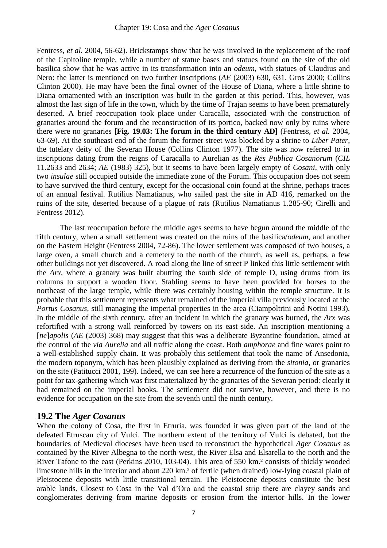Fentress, *et al.* 2004, 56-62). Brickstamps show that he was involved in the replacement of the roof of the Capitoline temple, while a number of statue bases and statues found on the site of the old basilica show that he was active in its transformation into an *odeum*, with statues of Claudius and Nero: the latter is mentioned on two further inscriptions (*AE* (2003) 630, 631. Gros 2000; Collins Clinton 2000). He may have been the final owner of the House of Diana, where a little shrine to Diana ornamented with an inscription was built in the garden at this period. This, however, was almost the last sign of life in the town, which by the time of Trajan seems to have been prematurely deserted. A brief reoccupation took place under Caracalla, associated with the construction of granaries around the forum and the reconstruction of its portico, backed now only by ruins where there were no granaries **[Fig. 19.03: The forum in the third century AD]** (Fentress, *et al.* 2004, 63-69). At the southeast end of the forum the former street was blocked by a shrine to *Liber Pater*, the tutelary deity of the Severan House (Collins Clinton 1977). The site was now referred to in inscriptions dating from the reigns of Caracalla to Aurelian as the *Res Publica Cosanorum* (*CIL*  11.2633 and 2634; *AE* (1983) 325), but it seems to have been largely empty of *Cosani*, with only two *insulae* still occupied outside the immediate zone of the Forum. This occupation does not seem to have survived the third century, except for the occasional coin found at the shrine, perhaps traces of an annual festival. Rutilius Namatianus, who sailed past the site in AD 416, remarked on the ruins of the site, deserted because of a plague of rats (Rutilius Namatianus 1.285-90; Cirelli and Fentress 2012).

The last reoccupation before the middle ages seems to have begun around the middle of the fifth century, when a small settlement was created on the ruins of the basilica/*odeum*, and another on the Eastern Height (Fentress 2004, 72-86). The lower settlement was composed of two houses, a large oven, a small church and a cemetery to the north of the church, as well as, perhaps, a few other buildings not yet discovered. A road along the line of street P linked this little settlement with the *Arx*, where a granary was built abutting the south side of temple D, using drums from its columns to support a wooden floor. Stabling seems to have been provided for horses to the northeast of the large temple, while there was certainly housing within the temple structure. It is probable that this settlement represents what remained of the imperial villa previously located at the *Portus Cosanus*, still managing the imperial properties in the area (Ciampoltrini and Notini 1993). In the middle of the sixth century, after an incident in which the granary was burned, the *Arx* was refortified with a strong wall reinforced by towers on its east side. An inscription mentioning a [*ne*]*apolis* (*AE* (2003) 368) may suggest that this was a deliberate Byzantine foundation, aimed at the control of the *via Aurelia* and all traffic along the coast. Both *amphorae* and fine wares point to a well-established supply chain. It was probably this settlement that took the name of Ansedonia, the modern toponym, which has been plausibly explained as deriving from the *sitonia*, or granaries on the site (Patitucci 2001, 199). Indeed, we can see here a recurrence of the function of the site as a point for tax-gathering which was first materialized by the granaries of the Severan period: clearly it had remained on the imperial books. The settlement did not survive, however, and there is no evidence for occupation on the site from the seventh until the ninth century.

# **19.2 The** *Ager Cosanus*

When the colony of Cosa, the first in Etruria, was founded it was given part of the land of the defeated Etruscan city of Vulci. The northern extent of the territory of Vulci is debated, but the boundaries of Medieval dioceses have been used to reconstruct the hypothetical *Ager Cosanus* as contained by the River Albegna to the north west, the River Elsa and Elsarella to the north and the River Tafone to the east (Perkins 2010, 103-04). This area of 550 km.² consists of thickly wooded limestone hills in the interior and about 220 km.<sup>2</sup> of fertile (when drained) low-lying coastal plain of Pleistocene deposits with little transitional terrain. The Pleistocene deposits constitute the best arable lands. Closest to Cosa in the Val d'Oro and the coastal strip there are clayey sands and conglomerates deriving from marine deposits or erosion from the interior hills. In the lower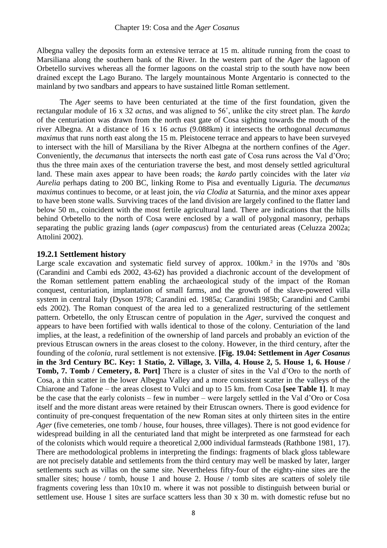Albegna valley the deposits form an extensive terrace at 15 m. altitude running from the coast to Marsiliana along the southern bank of the River. In the western part of the *Ager* the lagoon of Orbetello survives whereas all the former lagoons on the coastal strip to the south have now been drained except the Lago Burano. The largely mountainous Monte Argentario is connected to the mainland by two sandbars and appears to have sustained little Roman settlement.

The *Ager* seems to have been centuriated at the time of the first foundation, given the rectangular module of 16 x 32 *actus*, and was aligned to 56˚, unlike the city street plan. The *kardo* of the centuriation was drawn from the north east gate of Cosa sighting towards the mouth of the river Albegna. At a distance of 16 x 16 *actus* (9.088km) it intersects the orthogonal *decumanus maximus* that runs north east along the 15 m. Pleistocene terrace and appears to have been surveyed to intersect with the hill of Marsiliana by the River Albegna at the northern confines of the *Ager*. Conveniently, the *decumanus* that intersects the north east gate of Cosa runs across the Val d'Oro; thus the three main axes of the centuriation traverse the best, and most densely settled agricultural land. These main axes appear to have been roads; the *kardo* partly coincides with the later *via Aurelia* perhaps dating to 200 BC, linking Rome to Pisa and eventually Liguria. The *decumanus maximus* continues to become, or at least join, the *via Clodia* at Saturnia, and the minor axes appear to have been stone walls. Surviving traces of the land division are largely confined to the flatter land below 50 m., coincident with the most fertile agricultural land. There are indications that the hills behind Orbetello to the north of Cosa were enclosed by a wall of polygonal masonry, perhaps separating the public grazing lands (*ager compascus*) from the centuriated areas (Celuzza 2002a; Attolini 2002).

### **19.2.1 Settlement history**

Large scale excavation and systematic field survey of approx. 100km.<sup>2</sup> in the 1970s and '80s (Carandini and Cambi eds 2002, 43-62) has provided a diachronic account of the development of the Roman settlement pattern enabling the archaeological study of the impact of the Roman conquest, centuriation, implantation of small farms, and the growth of the slave-powered villa system in central Italy (Dyson 1978; Carandini ed. 1985a; Carandini 1985b; Carandini and Cambi eds 2002). The Roman conquest of the area led to a generalized restructuring of the settlement pattern. Orbetello, the only Etruscan centre of population in the *Ager*, survived the conquest and appears to have been fortified with walls identical to those of the colony. Centuriation of the land implies, at the least, a redefinition of the ownership of land parcels and probably an eviction of the previous Etruscan owners in the areas closest to the colony. However, in the third century, after the founding of the *colonia*, rural settlement is not extensive. **[Fig. 19.04: Settlement in** *Ager Cosanus* **in the 3rd Century BC. Key: 1 Statio, 2. Village, 3. Villa, 4. House 2, 5. House 1, 6. House / Tomb, 7. Tomb / Cemetery, 8. Port]** There is a cluster of sites in the Val d'Oro to the north of Cosa, a thin scatter in the lower Albegna Valley and a more consistent scatter in the valleys of the Chiarone and Tafone – the areas closest to Vulci and up to 15 km. from Cosa **[see Table 1]**. It may be the case that the early colonists – few in number – were largely settled in the Val d'Oro or Cosa itself and the more distant areas were retained by their Etruscan owners. There is good evidence for continuity of pre-conquest frequentation of the new Roman sites at only thirteen sites in the entire *Ager* (five cemeteries, one tomb / house, four houses, three villages). There is not good evidence for widespread building in all the centuriated land that might be interpreted as one farmstead for each of the colonists which would require a theoretical 2,000 individual farmsteads (Rathbone 1981, 17). There are methodological problems in interpreting the findings: fragments of black gloss tableware are not precisely datable and settlements from the third century may well be masked by later, larger settlements such as villas on the same site. Nevertheless fifty-four of the eighty-nine sites are the smaller sites; house / tomb, house 1 and house 2. House / tomb sites are scatters of solely tile fragments covering less than 10x10 m. where it was not possible to distinguish between burial or settlement use. House 1 sites are surface scatters less than 30 x 30 m, with domestic refuse but no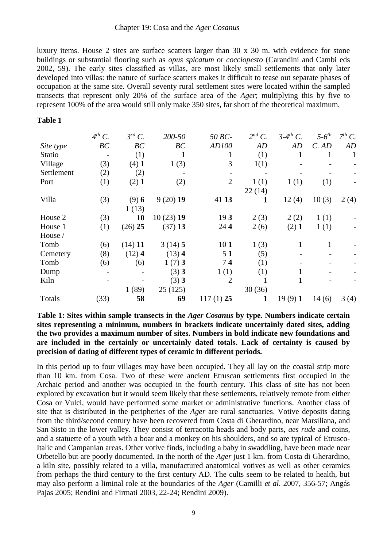luxury items. House 2 sites are surface scatters larger than 30 x 30 m. with evidence for stone buildings or substantial flooring such as *opus spicatum* or *cocciopesto* (Carandini and Cambi eds 2002, 59). The early sites classified as villas, are most likely small settlements that only later developed into villas: the nature of surface scatters makes it difficult to tease out separate phases of occupation at the same site. Overall seventy rural settlement sites were located within the sampled transects that represent only 20% of the surface area of the *Ager*; multiplying this by five to represent 100% of the area would still only make 350 sites, far short of the theoretical maximum.

#### **Table 1**

|               | $4^{th}$ C. | $3^{rd}$ C. | 200-50      | 50 BC-          | $2^{nd}$ C. | $3-4$ <sup>th</sup> C. | $5-6$ <sup>th</sup> | $7th$ C. |
|---------------|-------------|-------------|-------------|-----------------|-------------|------------------------|---------------------|----------|
| Site type     | BC          | BC          | BC          | AD100           | AD          | AD                     | $C.$ AD             | AD       |
| <b>Statio</b> |             | (1)         |             | 1               | (1)         | 1                      | 1                   | 1        |
| Village       | (3)         | $(4)$ 1     | 1(3)        | 3               | 1(1)        |                        |                     |          |
| Settlement    | (2)         | (2)         |             |                 |             |                        |                     |          |
| Port          | (1)         | $(2)$ 1     | (2)         | $\overline{2}$  | 1(1)        | 1(1)                   | (1)                 |          |
|               |             |             |             |                 | 22(14)      |                        |                     |          |
| Villa         | (3)         | (9) 6       | $9(20)$ 19  | 41 13           |             | 12(4)                  | 10(3)               | 2(4)     |
|               |             | 1(13)       |             |                 |             |                        |                     |          |
| House 2       | (3)         | 10          | $10(23)$ 19 | 19 <sub>3</sub> | 2(3)        | 2(2)                   | 1(1)                |          |
| House 1       | (1)         | $(26)$ 25   | (37) 13     | 244             | 2(6)        | $(2)$ 1                | 1(1)                |          |
| House/        |             |             |             |                 |             |                        |                     |          |
| Tomb          | (6)         | $(14)$ 11   | 3(14)5      | 10 <sub>1</sub> | 1(3)        | 1                      | 1                   |          |
| Cemetery      | (8)         | $(12)$ 4    | $(13)$ 4    | 51              | (5)         |                        |                     |          |
| Tomb          | (6)         | (6)         | $1(7)$ 3    | 74              | (1)         |                        |                     |          |
| Dump          |             |             | $(3)$ 3     | 1(1)            | (1)         |                        |                     |          |
| Kiln          |             |             | $(3)$ 3     | $\overline{2}$  |             |                        |                     |          |
|               |             | 1(89)       | 25(125)     |                 | 30(36)      |                        |                     |          |
| Totals        | (33)        | 58          | 69          | $117(1)$ 25     |             | 19(9)1                 | 14(6)               | 3(4)     |

**Table 1: Sites within sample transects in the** *Ager Cosanus* **by type. Numbers indicate certain sites representing a minimum, numbers in brackets indicate uncertainly dated sites, adding the two provides a maximum number of sites. Numbers in bold indicate new foundations and are included in the certainly or uncertainly dated totals. Lack of certainty is caused by precision of dating of different types of ceramic in different periods.**

In this period up to four villages may have been occupied. They all lay on the coastal strip more than 10 km. from Cosa. Two of these were ancient Etruscan settlements first occupied in the Archaic period and another was occupied in the fourth century. This class of site has not been explored by excavation but it would seem likely that these settlements, relatively remote from either Cosa or Vulci, would have performed some market or administrative functions. Another class of site that is distributed in the peripheries of the *Ager* are rural sanctuaries. Votive deposits dating from the third/second century have been recovered from Costa di Gherardino, near Marsiliana, and San Sisto in the lower valley. They consist of terracotta heads and body parts, *aes rude* and coins, and a statuette of a youth with a boar and a monkey on his shoulders, and so are typical of Etrusco-Italic and Campanian areas. Other votive finds, including a baby in swaddling, have been made near Orbetello but are poorly documented. In the north of the *Ager* just 1 km. from Costa di Gherardino, a kiln site, possibly related to a villa, manufactured anatomical votives as well as other ceramics from perhaps the third century to the first century AD. The cults seem to be related to health, but may also perform a liminal role at the boundaries of the *Ager* (Camilli *et al*. 2007, 356-57; Angás Pajas 2005; Rendini and Firmati 2003, 22-24; Rendini 2009).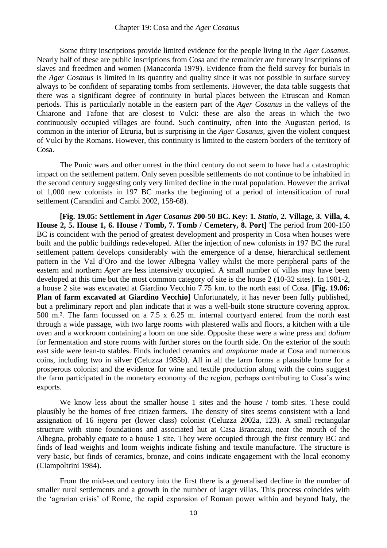Some thirty inscriptions provide limited evidence for the people living in the *Ager Cosanus*. Nearly half of these are public inscriptions from Cosa and the remainder are funerary inscriptions of slaves and freedmen and women (Manacorda 1979). Evidence from the field survey for burials in the *Ager Cosanus* is limited in its quantity and quality since it was not possible in surface survey always to be confident of separating tombs from settlements. However, the data table suggests that there was a significant degree of continuity in burial places between the Etruscan and Roman periods. This is particularly notable in the eastern part of the *Ager Cosanus* in the valleys of the Chiarone and Tafone that are closest to Vulci: these are also the areas in which the two continuously occupied villages are found. Such continuity, often into the Augustan period, is common in the interior of Etruria, but is surprising in the *Ager Cosanus*, given the violent conquest of Vulci by the Romans. However, this continuity is limited to the eastern borders of the territory of Cosa.

The Punic wars and other unrest in the third century do not seem to have had a catastrophic impact on the settlement pattern. Only seven possible settlements do not continue to be inhabited in the second century suggesting only very limited decline in the rural population. However the arrival of 1,000 new colonists in 197 BC marks the beginning of a period of intensification of rural settlement (Carandini and Cambi 2002, 158-68).

**[Fig. 19.05: Settlement in** *Ager Cosanus* **200-50 BC. Key: 1.** *Statio***, 2. Village, 3. Villa, 4. House 2, 5. House 1, 6. House / Tomb, 7. Tomb / Cemetery, 8. Port]** The period from 200-150 BC is coincident with the period of greatest development and prosperity in Cosa when houses were built and the public buildings redeveloped. After the injection of new colonists in 197 BC the rural settlement pattern develops considerably with the emergence of a dense, hierarchical settlement pattern in the Val d'Oro and the lower Albegna Valley whilst the more peripheral parts of the eastern and northern *Ager* are less intensively occupied. A small number of villas may have been developed at this time but the most common category of site is the house 2 (10-32 sites). In 1981-2, a house 2 site was excavated at Giardino Vecchio 7.75 km. to the north east of Cosa. **[Fig. 19.06: Plan of farm excavated at Giardino Vecchio]** Unfortunately, it has never been fully published, but a preliminary report and plan indicate that it was a well-built stone structure covering approx. 500 m.². The farm focussed on a 7.5 x 6.25 m. internal courtyard entered from the north east through a wide passage, with two large rooms with plastered walls and floors, a kitchen with a tile oven and a workroom containing a loom on one side. Opposite these were a wine press and *dolium* for fermentation and store rooms with further stores on the fourth side. On the exterior of the south east side were lean-to stables. Finds included ceramics and *amphorae* made at Cosa and numerous coins, including two in silver (Celuzza 1985b). All in all the farm forms a plausible home for a prosperous colonist and the evidence for wine and textile production along with the coins suggest the farm participated in the monetary economy of the region, perhaps contributing to Cosa's wine exports.

We know less about the smaller house 1 sites and the house / tomb sites. These could plausibly be the homes of free citizen farmers. The density of sites seems consistent with a land assignation of 16 *iugera* per (lower class) colonist (Celuzza 2002a, 123). A small rectangular structure with stone foundations and associated hut at Casa Brancazzi, near the mouth of the Albegna, probably equate to a house 1 site. They were occupied through the first century BC and finds of lead weights and loom weights indicate fishing and textile manufacture. The structure is very basic, but finds of ceramics, bronze, and coins indicate engagement with the local economy (Ciampoltrini 1984).

From the mid-second century into the first there is a generalised decline in the number of smaller rural settlements and a growth in the number of larger villas. This process coincides with the 'agrarian crisis' of Rome, the rapid expansion of Roman power within and beyond Italy, the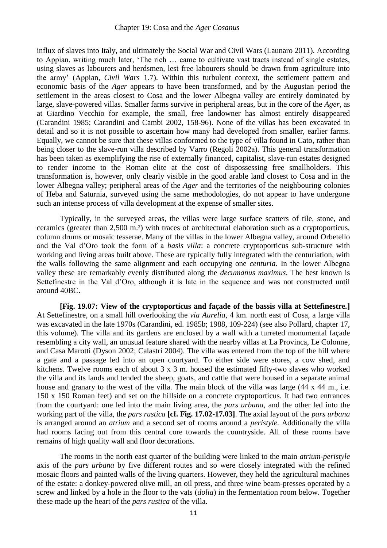influx of slaves into Italy, and ultimately the Social War and Civil Wars (Launaro 2011). According to Appian, writing much later, 'The rich … came to cultivate vast tracts instead of single estates, using slaves as labourers and herdsmen, lest free labourers should be drawn from agriculture into the army' (Appian, *Civil Wars* 1.7). Within this turbulent context, the settlement pattern and economic basis of the *Ager* appears to have been transformed, and by the Augustan period the settlement in the areas closest to Cosa and the lower Albegna valley are entirely dominated by large, slave-powered villas. Smaller farms survive in peripheral areas, but in the core of the *Ager*, as at Giardino Vecchio for example, the small, free landowner has almost entirely disappeared (Carandini 1985; Carandini and Cambi 2002, 158-96). None of the villas has been excavated in detail and so it is not possible to ascertain how many had developed from smaller, earlier farms. Equally, we cannot be sure that these villas conformed to the type of villa found in Cato, rather than being closer to the slave-run villa described by Varro (Regoli 2002a). This general transformation has been taken as exemplifying the rise of externally financed, capitalist, slave-run estates designed to render income to the Roman elite at the cost of dispossessing free smallholders. This transformation is, however, only clearly visible in the good arable land closest to Cosa and in the lower Albegna valley; peripheral areas of the *Ager* and the territories of the neighbouring colonies of Heba and Saturnia, surveyed using the same methodologies, do not appear to have undergone such an intense process of villa development at the expense of smaller sites.

Typically, in the surveyed areas, the villas were large surface scatters of tile, stone, and ceramics (greater than 2,500 m.²) with traces of architectural elaboration such as a cryptoporticus, column drums or mosaic tesserae. Many of the villas in the lower Albegna valley, around Orbetello and the Val d'Oro took the form of a *basis villa*: a concrete cryptoporticus sub-structure with working and living areas built above. These are typically fully integrated with the centuriation, with the walls following the same alignment and each occupying one *centuria*. In the lower Albegna valley these are remarkably evenly distributed along the *decumanus maximus*. The best known is Settefinestre in the Val d'Oro, although it is late in the sequence and was not constructed until around 40BC.

**[Fig. 19.07: View of the cryptoporticus and façade of the bassis villa at Settefinestre.]** At Settefinestre, on a small hill overlooking the *via Aurelia*, 4 km. north east of Cosa, a large villa was excavated in the late 1970s (Carandini, ed. 1985b; 1988, 109-224) (see also Pollard, chapter 17, this volume). The villa and its gardens are enclosed by a wall with a turreted monumental façade resembling a city wall, an unusual feature shared with the nearby villas at La Provinca, Le Colonne, and Casa Marotti (Dyson 2002; Calastri 2004). The villa was entered from the top of the hill where a gate and a passage led into an open courtyard. To either side were stores, a cow shed, and kitchens. Twelve rooms each of about 3 x 3 m. housed the estimated fifty-two slaves who worked the villa and its lands and tended the sheep, goats, and cattle that were housed in a separate animal house and granary to the west of the villa. The main block of the villa was large (44 x 44 m., i.e. 150 x 150 Roman feet) and set on the hillside on a concrete cryptoporticus. It had two entrances from the courtyard: one led into the main living area, the *pars urbana*, and the other led into the working part of the villa, the *pars rustica* **[cf. Fig. 17.02-17.03]**. The axial layout of the *pars urbana* is arranged around an *atrium* and a second set of rooms around a *peristyle*. Additionally the villa had rooms facing out from this central core towards the countryside. All of these rooms have remains of high quality wall and floor decorations.

The rooms in the north east quarter of the building were linked to the main *atrium*-*peristyle* axis of the *pars urbana* by five different routes and so were closely integrated with the refined mosaic floors and painted walls of the living quarters. However, they held the agricultural machines of the estate: a donkey-powered olive mill, an oil press, and three wine beam-presses operated by a screw and linked by a hole in the floor to the vats (*dolia*) in the fermentation room below. Together these made up the heart of the *pars rustica* of the villa.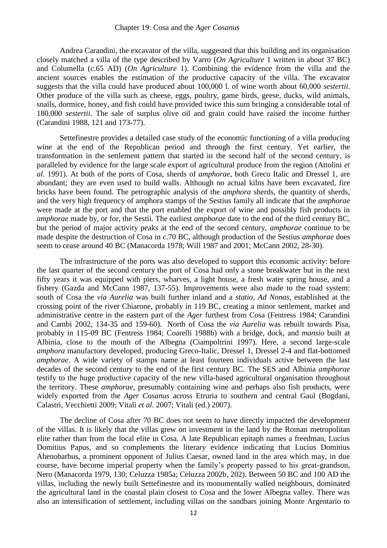Andrea Carandini, the excavator of the villa, suggested that this building and its organisation closely matched a villa of the type described by Varro (*On Agriculture* 1 written in about 37 BC) and Columella (*c*.65 AD) (*On Agriculture* 1). Combining the evidence from the villa and the ancient sources enables the estimation of the productive capacity of the villa. The excavator suggests that the villa could have produced about 100,000 l. of wine worth about 60,000 *sestertii*. Other produce of the villa such as cheese, eggs, poultry, game birds, geese, ducks, wild animals, snails, dormice, honey, and fish could have provided twice this sum bringing a considerable total of 180,000 *sestertii*. The sale of surplus olive oil and grain could have raised the income further (Carandini 1988, 121 and 173-77).

Settefinestre provides a detailed case study of the economic functioning of a villa producing wine at the end of the Republican period and through the first century. Yet earlier, the transformation in the settlement pattern that started in the second half of the second century, is paralleled by evidence for the large scale export of agricultural produce from the region (Attolini *et al*. 1991). At both of the ports of Cosa, sherds of *amphorae*, both Greco Italic and Dressel 1, are abundant; they are even used to build walls. Although no actual kilns have been excavated, fire bricks have been found. The petrographic analysis of the *amphora* sherds, the quantity of sherds, and the very high frequency of amphora stamps of the Sestius family all indicate that the *amphorae* were made at the port and that the port enabled the export of wine and possibly fish products in *amphorae* made by, or for, the Sestii. The earliest *amphorae* date to the end of the third century BC, but the period of major activity peaks at the end of the second century, *amphorae* continue to be made despite the destruction of Cosa in *c*.70 BC, although production of the Sestius *amphorae* does seem to cease around 40 BC (Manacorda 1978; Will 1987 and 2001; McCann 2002, 28-30).

The infrastructure of the ports was also developed to support this economic activity: before the last quarter of the second century the port of Cosa had only a stone breakwater but in the next fifty years it was equipped with piers, wharves, a light house, a fresh water spring house, and a fishery (Gazda and McCann 1987, 137-55). Improvements were also made to the road system: south of Cosa the *via Aurelia* was built further inland and a *statio*, *Ad Nonas*, established at the crossing point of the river Chiarone, probably in 119 BC, creating a minor settlement, market and administrative centre in the eastern part of the *Ager* furthest from Cosa (Fentress 1984; Carandini and Cambi 2002, 134-35 and 159-60). North of Cosa the *via Aurelia* was rebuilt towards Pisa, probably in 115-09 BC (Fentress 1984; Coarelli 1988b) with a bridge, dock, and *mansio* built at Albinia, close to the mouth of the Albegna (Ciampoltrini 1997). Here, a second large-scale *amphora* manufactory developed, producing Greco-Italic, Dressel 1, Dressel 2-4 and flat-bottomed *amphorae*. A wide variety of stamps name at least fourteen individuals active between the last decades of the second century to the end of the first century BC. The SES and Albinia *amphorae* testify to the huge productive capacity of the new villa-based agricultural organisation throughout the territory. These *amphorae*, presumably containing wine and perhaps also fish products, were widely exported from the *Ager Cosanus* across Etruria to southern and central Gaul (Bogdani, Calastri, Vecchietti 2009; Vitali *et al*. 2007; Vitali (ed.) 2007).

The decline of Cosa after 70 BC does not seem to have directly impacted the development of the villas. It is likely that the villas grew on investment in the land by the Roman metropolitan elite rather than from the local elite in Cosa. A late Republican epitaph names a freedman, Lucius Domitius Papus, and so complements the literary evidence indicating that Lucius Domitius Ahenobarbus, a prominent opponent of Julius Caesar, owned land in the area which may, in due course, have become imperial property when the family's property passed to his great-grandson, Nero (Manacorda 1979, 130; Celuzza 1985a; Celuzza 2002b, 202). Between 50 BC and 100 AD the villas, including the newly built Settefinestre and its monumentally walled neighbours, dominated the agricultural land in the coastal plain closest to Cosa and the lower Albegna valley. There was also an intensification of settlement, including villas on the sandbars joining Monte Argentario to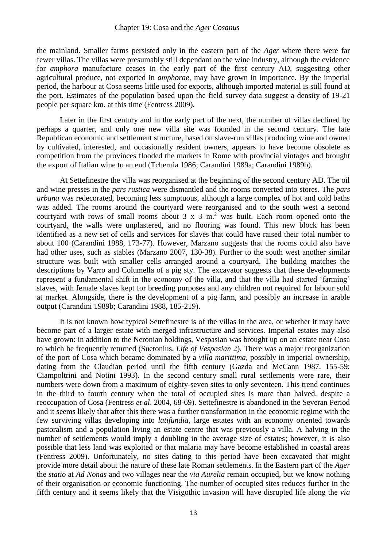the mainland. Smaller farms persisted only in the eastern part of the *Ager* where there were far fewer villas. The villas were presumably still dependant on the wine industry, although the evidence for *amphora* manufacture ceases in the early part of the first century AD, suggesting other agricultural produce, not exported in *amphorae*, may have grown in importance. By the imperial period, the harbour at Cosa seems little used for exports, although imported material is still found at the port. Estimates of the population based upon the field survey data suggest a density of 19-21 people per square km. at this time (Fentress 2009).

Later in the first century and in the early part of the next, the number of villas declined by perhaps a quarter, and only one new villa site was founded in the second century. The late Republican economic and settlement structure, based on slave-run villas producing wine and owned by cultivated, interested, and occasionally resident owners, appears to have become obsolete as competition from the provinces flooded the markets in Rome with provincial vintages and brought the export of Italian wine to an end (Tchernia 1986; Carandini 1989a; Carandini 1989b).

At Settefinestre the villa was reorganised at the beginning of the second century AD. The oil and wine presses in the *pars rustica* were dismantled and the rooms converted into stores. The *pars urbana* was redecorated, becoming less sumptuous, although a large complex of hot and cold baths was added. The rooms around the courtyard were reorganised and to the south west a second courtyard with rows of small rooms about  $3 \times 3$  m.<sup>2</sup> was built. Each room opened onto the courtyard, the walls were unplastered, and no flooring was found. This new block has been identified as a new set of cells and services for slaves that could have raised their total number to about 100 (Carandini 1988, 173-77). However, Marzano suggests that the rooms could also have had other uses, such as stables (Marzano 2007, 130-38). Further to the south west another similar structure was built with smaller cells arranged around a courtyard. The building matches the descriptions by Varro and Columella of a pig sty. The excavator suggests that these developments represent a fundamental shift in the economy of the villa, and that the villa had started 'farming' slaves, with female slaves kept for breeding purposes and any children not required for labour sold at market. Alongside, there is the development of a pig farm, and possibly an increase in arable output (Carandini 1989b; Carandini 1988, 185-219).

It is not known how typical Settefinestre is of the villas in the area, or whether it may have become part of a larger estate with merged infrastructure and services. Imperial estates may also have grown: in addition to the Neronian holdings, Vespasian was brought up on an estate near Cosa to which he frequently returned (Suetonius, *Life of Vespasian* 2). There was a major reorganization of the port of Cosa which became dominated by a *villa marittima*, possibly in imperial ownership, dating from the Claudian period until the fifth century (Gazda and McCann 1987, 155-59; Ciampoltrini and Notini 1993). In the second century small rural settlements were rare, their numbers were down from a maximum of eighty-seven sites to only seventeen. This trend continues in the third to fourth century when the total of occupied sites is more than halved, despite a reoccupation of Cosa (Fentress *et al*. 2004, 68-69). Settefinestre is abandoned in the Severan Period and it seems likely that after this there was a further transformation in the economic regime with the few surviving villas developing into *latifundia*, large estates with an economy oriented towards pastoralism and a population living an estate centre that was previously a villa. A halving in the number of settlements would imply a doubling in the average size of estates; however, it is also possible that less land was exploited or that malaria may have become established in coastal areas (Fentress 2009). Unfortunately, no sites dating to this period have been excavated that might provide more detail about the nature of these late Roman settlements. In the Eastern part of the *Ager* the *statio* at *Ad Nonas* and two villages near the *via Aurelia* remain occupied, but we know nothing of their organisation or economic functioning. The number of occupied sites reduces further in the fifth century and it seems likely that the Visigothic invasion will have disrupted life along the *via*